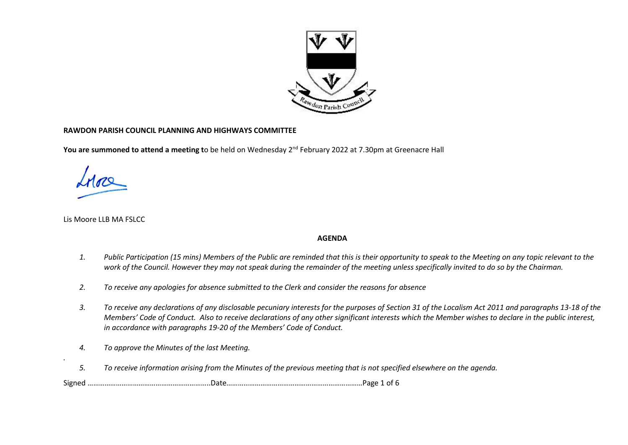

## **RAWDON PARISH COUNCIL PLANNING AND HIGHWAYS COMMITTEE**

**You are summoned to attend a meeting t**o be held on Wednesday 2<sup>nd</sup> February 2022 at 7.30pm at Greenacre Hall

Lis Moore LLB MA FSLCC

*.* 

## **AGENDA**

- *1. Public Participation (15 mins) Members of the Public are reminded that this is their opportunity to speak to the Meeting on any topic relevant to the work of the Council. However they may not speak during the remainder of the meeting unless specifically invited to do so by the Chairman.*
- *2. To receive any apologies for absence submitted to the Clerk and consider the reasons for absence*
- *3. To receive any declarations of any disclosable pecuniary interests for the purposes of Section 31 of the Localism Act 2011 and paragraphs 13-18 of the Members' Code of Conduct. Also to receive declarations of any other significant interests which the Member wishes to declare in the public interest, in accordance with paragraphs 19-20 of the Members' Code of Conduct.*
- *4. To approve the Minutes of the last Meeting.*
- *5. To receive information arising from the Minutes of the previous meeting that is not specified elsewhere on the agenda.*

Signed ………………………………………………………..Date………………………………………………………………Page 1 of 6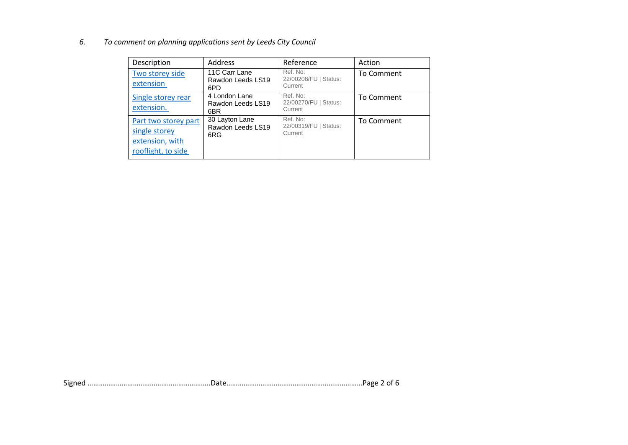*6. To comment on planning applications sent by Leeds City Council*

| Description                                                                    | Address                                    | Reference                                    | Action     |
|--------------------------------------------------------------------------------|--------------------------------------------|----------------------------------------------|------------|
| Two storey side<br>extension                                                   | 11C Carr Lane<br>Rawdon Leeds LS19<br>6PD  | Ref. No:<br>22/00208/FU   Status:<br>Current | To Comment |
| Single storey rear<br>extension.                                               | 4 London Lane<br>Rawdon Leeds LS19<br>6BR  | Ref. No:<br>22/00270/FU   Status:<br>Current | To Comment |
| Part two storey part<br>single storey<br>extension, with<br>rooflight, to side | 30 Layton Lane<br>Rawdon Leeds LS19<br>6RG | Ref. No:<br>22/00319/FU   Status:<br>Current | To Comment |

Signed ………………………………………………………..Date………………………………………………………………Page 2 of 6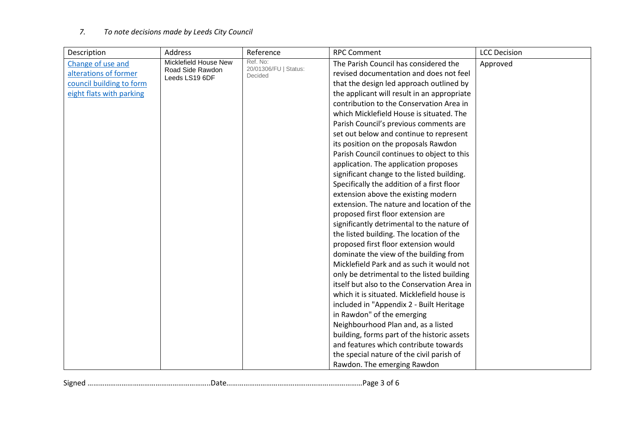## *7. To note decisions made by Leeds City Council*

| Description              | Address                            | Reference                         | <b>RPC Comment</b>                          | <b>LCC Decision</b> |
|--------------------------|------------------------------------|-----------------------------------|---------------------------------------------|---------------------|
| Change of use and        | Micklefield House New              | Ref. No:<br>20/01306/FU   Status: | The Parish Council has considered the       | Approved            |
| alterations of former    | Road Side Rawdon<br>Leeds LS19 6DF | Decided                           | revised documentation and does not feel     |                     |
| council building to form |                                    |                                   | that the design led approach outlined by    |                     |
| eight flats with parking |                                    |                                   | the applicant will result in an appropriate |                     |
|                          |                                    |                                   | contribution to the Conservation Area in    |                     |
|                          |                                    |                                   | which Micklefield House is situated. The    |                     |
|                          |                                    |                                   | Parish Council's previous comments are      |                     |
|                          |                                    |                                   | set out below and continue to represent     |                     |
|                          |                                    |                                   | its position on the proposals Rawdon        |                     |
|                          |                                    |                                   | Parish Council continues to object to this  |                     |
|                          |                                    |                                   | application. The application proposes       |                     |
|                          |                                    |                                   | significant change to the listed building.  |                     |
|                          |                                    |                                   | Specifically the addition of a first floor  |                     |
|                          |                                    |                                   | extension above the existing modern         |                     |
|                          |                                    |                                   | extension. The nature and location of the   |                     |
|                          |                                    |                                   | proposed first floor extension are          |                     |
|                          |                                    |                                   | significantly detrimental to the nature of  |                     |
|                          |                                    |                                   | the listed building. The location of the    |                     |
|                          |                                    |                                   | proposed first floor extension would        |                     |
|                          |                                    |                                   | dominate the view of the building from      |                     |
|                          |                                    |                                   | Micklefield Park and as such it would not   |                     |
|                          |                                    |                                   | only be detrimental to the listed building  |                     |
|                          |                                    |                                   | itself but also to the Conservation Area in |                     |
|                          |                                    |                                   | which it is situated. Micklefield house is  |                     |
|                          |                                    |                                   | included in "Appendix 2 - Built Heritage    |                     |
|                          |                                    |                                   | in Rawdon" of the emerging                  |                     |
|                          |                                    |                                   | Neighbourhood Plan and, as a listed         |                     |
|                          |                                    |                                   | building, forms part of the historic assets |                     |
|                          |                                    |                                   | and features which contribute towards       |                     |
|                          |                                    |                                   | the special nature of the civil parish of   |                     |
|                          |                                    |                                   | Rawdon. The emerging Rawdon                 |                     |

Signed ………………………………………………………..Date………………………………………………………………Page 3 of 6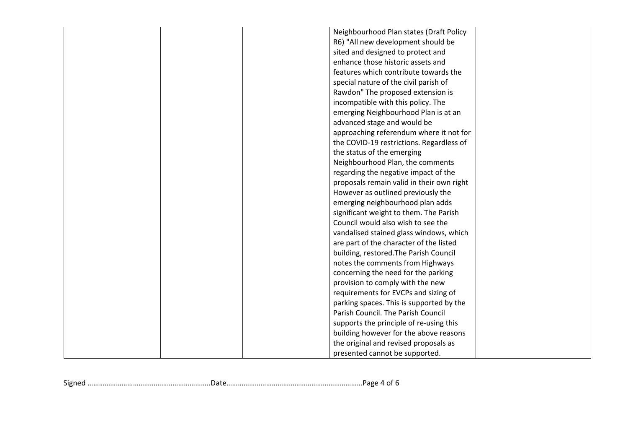|  | Neighbourhood Plan states (Draft Policy<br>R6) "All new development should be |  |
|--|-------------------------------------------------------------------------------|--|
|  |                                                                               |  |
|  | sited and designed to protect and                                             |  |
|  | enhance those historic assets and                                             |  |
|  | features which contribute towards the                                         |  |
|  | special nature of the civil parish of                                         |  |
|  | Rawdon" The proposed extension is                                             |  |
|  | incompatible with this policy. The                                            |  |
|  | emerging Neighbourhood Plan is at an                                          |  |
|  | advanced stage and would be                                                   |  |
|  | approaching referendum where it not for                                       |  |
|  | the COVID-19 restrictions. Regardless of                                      |  |
|  | the status of the emerging                                                    |  |
|  | Neighbourhood Plan, the comments                                              |  |
|  | regarding the negative impact of the                                          |  |
|  | proposals remain valid in their own right                                     |  |
|  | However as outlined previously the                                            |  |
|  | emerging neighbourhood plan adds                                              |  |
|  | significant weight to them. The Parish                                        |  |
|  | Council would also wish to see the                                            |  |
|  | vandalised stained glass windows, which                                       |  |
|  | are part of the character of the listed                                       |  |
|  | building, restored. The Parish Council                                        |  |
|  | notes the comments from Highways                                              |  |
|  | concerning the need for the parking                                           |  |
|  | provision to comply with the new                                              |  |
|  | requirements for EVCPs and sizing of                                          |  |
|  | parking spaces. This is supported by the                                      |  |
|  | Parish Council. The Parish Council                                            |  |
|  | supports the principle of re-using this                                       |  |
|  | building however for the above reasons                                        |  |
|  | the original and revised proposals as                                         |  |
|  | presented cannot be supported.                                                |  |
|  |                                                                               |  |

Signed ………………………………………………………..Date………………………………………………………………Page 4 of 6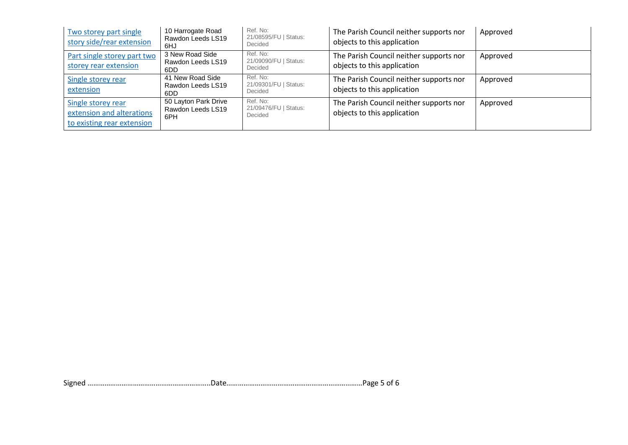| Two storey part single<br>story side/rear extension                           | 10 Harrogate Road<br>Rawdon Leeds LS19<br>6HJ    | Ref. No:<br>21/08595/FU   Status:<br>Decided | The Parish Council neither supports nor<br>objects to this application | Approved |
|-------------------------------------------------------------------------------|--------------------------------------------------|----------------------------------------------|------------------------------------------------------------------------|----------|
| Part single storey part two<br>storey rear extension                          | 3 New Road Side<br>Rawdon Leeds LS19<br>6DD      | Ref. No:<br>21/09090/FU   Status:<br>Decided | The Parish Council neither supports nor<br>objects to this application | Approved |
| Single storey rear<br>extension                                               | 41 New Road Side<br>Rawdon Leeds LS19<br>6DD     | Ref. No:<br>21/09301/FU   Status:<br>Decided | The Parish Council neither supports nor<br>objects to this application | Approved |
| Single storey rear<br>extension and alterations<br>to existing rear extension | 50 Layton Park Drive<br>Rawdon Leeds LS19<br>6PH | Ref. No:<br>21/09476/FU   Status:<br>Decided | The Parish Council neither supports nor<br>objects to this application | Approved |

Signed ………………………………………………………..Date………………………………………………………………Page 5 of 6